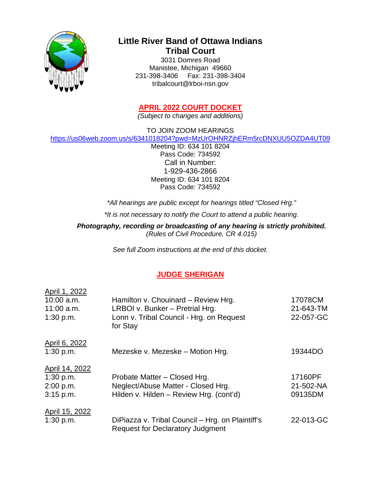

### **Little River Band of Ottawa Indians Tribal Court**

3031 Domres Road Manistee, Michigan 49660 231-398-3406 Fax: 231-398-3404 tribalcourt@lrboi-nsn.gov

### **APRIL 2022 COURT DOCKET**

*(Subject to changes and additions)*

TO JOIN ZOOM HEARINGS

<https://us06web.zoom.us/s/6341018204?pwd=MzUrOHNRZjhERm5rcDNXUU5OZDA4UT09>

Meeting ID: 634 101 8204 Pass Code: 734592 Call in Number: 1-929-436-2866 Meeting ID: 634 101 8204 Pass Code: 734592

*\*All hearings are public except for hearings titled "Closed Hrg."*

*\*It is not necessary to notify the Court to attend a public hearing.* 

*Photography, recording or broadcasting of any hearing is strictly prohibited. (Rules of Civil Procedure, CR 4.015)*

*See full Zoom instructions at the end of this docket.*

### **JUDGE SHERIGAN**

| April 1, 2022<br>$10:00$ a.m.<br>$11:00$ a.m.<br>1:30 p.m. | Hamilton v. Chouinard - Review Hrg.<br>LRBOI v. Bunker - Pretrial Hrg.<br>Lonn v. Tribal Council - Hrg. on Request<br>for Stay | 17078CM<br>21-643-TM<br>22-057-GC |
|------------------------------------------------------------|--------------------------------------------------------------------------------------------------------------------------------|-----------------------------------|
| April 6, 2022<br>1:30 p.m.                                 | Mezeske v. Mezeske – Motion Hrg.                                                                                               | 19344DO                           |
| April 14, 2022<br>1:30 p.m.<br>2:00 p.m.<br>$3:15$ p.m.    | Probate Matter – Closed Hrg.<br>Neglect/Abuse Matter - Closed Hrg.<br>Hilden v. Hilden – Review Hrg. (cont'd)                  | 17160PF<br>21-502-NA<br>09135DM   |
| April 15, 2022<br>1:30 p.m.                                | DiPiazza v. Tribal Council – Hrg. on Plaintiff's<br><b>Request for Declaratory Judgment</b>                                    | 22-013-GC                         |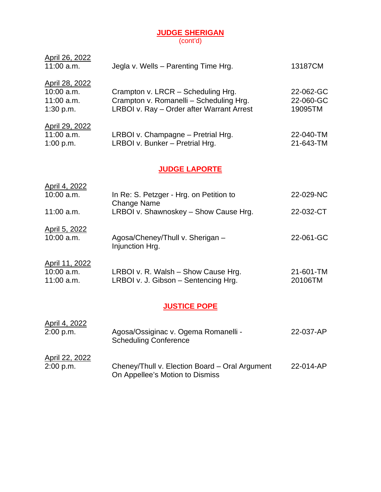#### **JUDGE SHERIGAN** (cont'd)

| $11:00$ a.m.                                                  | <b>Change Name</b><br>LRBOI v. Shawnoskey - Show Cause Hrg.                                                                | 22-032-CT                         |
|---------------------------------------------------------------|----------------------------------------------------------------------------------------------------------------------------|-----------------------------------|
| April 4, 2022<br>$10:00$ a.m.                                 | In Re: S. Petzger - Hrg. on Petition to                                                                                    | 22-029-NC                         |
|                                                               | <b>JUDGE LAPORTE</b>                                                                                                       |                                   |
| April 29, 2022<br>$11:00$ a.m.<br>1:00 p.m.                   | LRBOI v. Champagne - Pretrial Hrg.<br>LRBOI v. Bunker - Pretrial Hrg.                                                      | 22-040-TM<br>21-643-TM            |
| April 28, 2022<br>$10:00$ a.m.<br>$11:00$ a.m.<br>$1:30$ p.m. | Crampton v. LRCR - Scheduling Hrg.<br>Crampton v. Romanelli - Scheduling Hrg.<br>LRBOI v. Ray – Order after Warrant Arrest | 22-062-GC<br>22-060-GC<br>19095TM |
| April 26, 2022<br>$11:00$ a.m.                                | Jegla v. Wells - Parenting Time Hrg.                                                                                       | 13187CM                           |

# **JUSTICE POPE**

10:00 a.m. LRBOI v. R. Walsh – Show Cause Hrg. 21-601-TM

Injunction Hrg.

Agosa/Cheney/Thull v. Sherigan – 22-061-GC

LRBOI v. J. Gibson – Sentencing Hrg. 20106TM

April 5, 2022<br>10:00 a.m.

April 11, 2022<br>10:00 a.m.

| April 4, 2022<br>2:00 p.m.  | Agosa/Ossiginac v. Ogema Romanelli -<br><b>Scheduling Conference</b>              | 22-037-AP |
|-----------------------------|-----------------------------------------------------------------------------------|-----------|
| April 22, 2022<br>2:00 p.m. | Cheney/Thull v. Election Board - Oral Argument<br>On Appellee's Motion to Dismiss | 22-014-AP |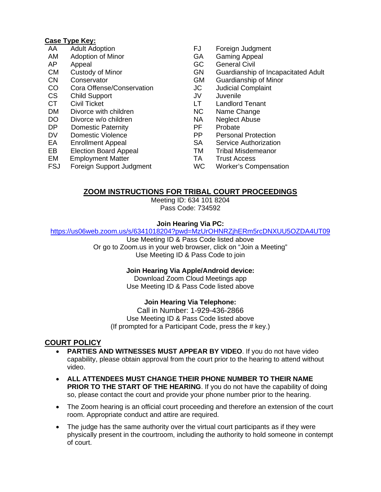## **Case Type Key:**

- 
- 
- 
- 
- 
- CO Cora Offense/Conservation JC Judicial Complaint<br>
CS Child Support CS JV Juvenile
- 
- 
- 
- DO Divorce w/o children NA Neglect Abuse<br>
DP Domestic Paternity 
NA PF Probate
- DP Domestic Paternity<br>
DV Domestic Violence<br>
PP
- 
- 
- Election Board Appeal TM
- EM Employment Matter TA Trust Access<br>
FSJ Foreign Support Judgment TA WC Worker's Com
- 
- FJ Foreign Judgment
- AM Adoption of Minor GA Gaming Appeal
- AP Appeal and Appeal GC General Civil<br>
CM Custody of Minor CM Guardianship
- CM Custody of Minor GN Guardianship of Incapacitated Adult
- CN Conservator GM Guardianship of Minor
	-
	- Child Support JV Juvenile
- CT Civil Ticket CT Civil Ticket CT Landlord Tenant<br>
DM Divorce with children CNC Name Change
	- Divorce with children NC Name Change
		-
		-
	- Domestic Violence **PP** Personal Protection
- EA Enrollment Appeal SA Service Authorization<br>
EB Election Board Appeal SA TM Tribal Misdemeanor
	-
	-
	- Foreign Support Judgment WC Worker's Compensation

### **ZOOM INSTRUCTIONS FOR TRIBAL COURT PROCEEDINGS**

Meeting ID: 634 101 8204 Pass Code: 734592

**Join Hearing Via PC:**

<https://us06web.zoom.us/s/6341018204?pwd=MzUrOHNRZjhERm5rcDNXUU5OZDA4UT09>

Use Meeting ID & Pass Code listed above Or go to Zoom.us in your web browser, click on "Join a Meeting" Use Meeting ID & Pass Code to join

### **Join Hearing Via Apple/Android device:**

Download Zoom Cloud Meetings app Use Meeting ID & Pass Code listed above

**Join Hearing Via Telephone:**

Call in Number: 1-929-436-2866 Use Meeting ID & Pass Code listed above (If prompted for a Participant Code, press the # key.)

### **COURT POLICY**

- **PARTIES AND WITNESSES MUST APPEAR BY VIDEO**. If you do not have video capability, please obtain approval from the court prior to the hearing to attend without video.
- **ALL ATTENDEES MUST CHANGE THEIR PHONE NUMBER TO THEIR NAME PRIOR TO THE START OF THE HEARING**. If you do not have the capability of doing so, please contact the court and provide your phone number prior to the hearing.
- The Zoom hearing is an official court proceeding and therefore an extension of the court room. Appropriate conduct and attire are required.
- The judge has the same authority over the virtual court participants as if they were physically present in the courtroom, including the authority to hold someone in contempt of court.